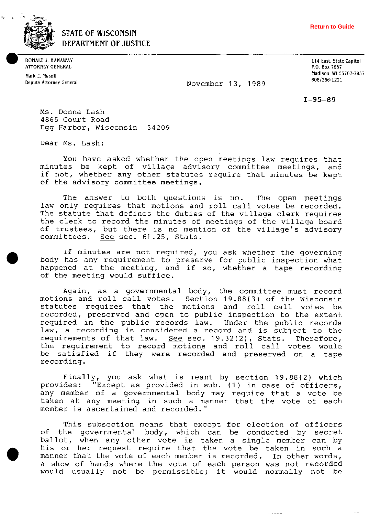

**STATE OF WISCONSIN DEPARTMENT OF JUSTICE** 

**ATTORNEY GENERAL** P.O. Box 7857

**Deputy Attorney General 6081266-1221** November 13, 1989

**DONALD J. HANAWAY 114 East. State Capitol Mark E. Musalf Madison. WI 53707.7857** 

 $I-95-89$ 

Ms. Donna Lash 4865 Court Road Egg Harbor, Wisconsin 54209

Dear Ms. Lash:

You have asked whether the open meetings law requires that minutes be kept of village advisory committee meetings, and if not, whether any other statutes require that minutes be kept of the advisory committee meetinqs.

The answer to both questions is no. The open meetings law only requires that motions and roll call votes be recorded. The statute that defines the duties of the village clerk requires the clerk to record the minutes of meetings of the village board of trustees, but there is no mention of the village's advisory committees. See sec. 61.25, Stats.

If minutes are not required, you ask whether the governing body has any requirement to preserve for public inspection what happened at the meeting, and if so, whether a tape recordinq of the meeting would suffice.

Again, as a governmental body, the committee must record motions and roll call votes. Section 19.88(3) of the Wisconsin statutes requires that the motions and roll call votes be recorded, preserved and open to public inspection to the extent required in the public records law. Under the public records law, a recording is considered a record and is subject to the requirements of that law. See sec. 19.32(2), Stats. Therefore, the requirement to record motions and roll call votes would be satisfied if they were recorded and preserved on a tape recordinq.

Finally, you ask what is meant by section 19.88(2) which provides: "Except as provided in sub. (1) in case of officers, any member of a governmental body may require that a vote be taken at any meeting in such a manner that the vote of each member is ascertained and recorded."

This subsection means that except for election of officers of the governmental body, which can be conducted by secret ballot, when any other vote is taken a single member can by his or her request require that the vote be taken in such a manner that the vote of each member is recorded. In other words, a show of hands where the vote of each person was not recorded would usually not be permissible; it would normally not be